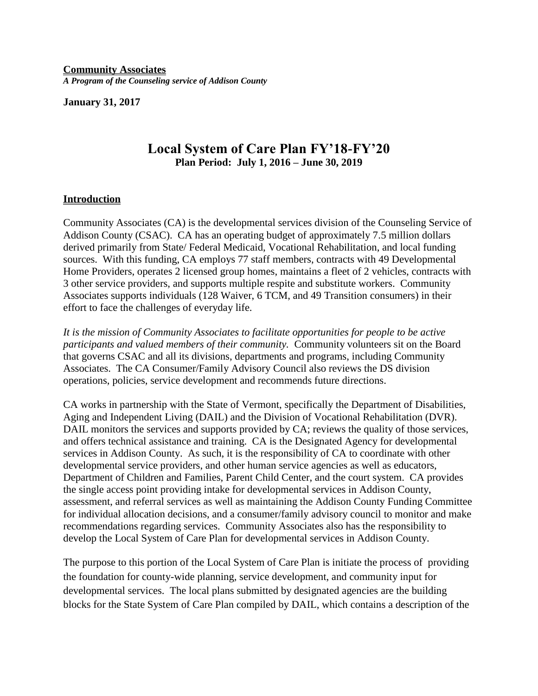**Community Associates** *A Program of the Counseling service of Addison County*

**January 31, 2017**

# **Local System of Care Plan FY'18-FY'20 Plan Period: July 1, 2016 – June 30, 2019**

#### **Introduction**

Community Associates (CA) is the developmental services division of the Counseling Service of Addison County (CSAC). CA has an operating budget of approximately 7.5 million dollars derived primarily from State/ Federal Medicaid, Vocational Rehabilitation, and local funding sources. With this funding, CA employs 77 staff members, contracts with 49 Developmental Home Providers, operates 2 licensed group homes, maintains a fleet of 2 vehicles, contracts with 3 other service providers, and supports multiple respite and substitute workers. Community Associates supports individuals (128 Waiver, 6 TCM, and 49 Transition consumers) in their effort to face the challenges of everyday life.

*It is the mission of Community Associates to facilitate opportunities for people to be active participants and valued members of their community.* Community volunteers sit on the Board that governs CSAC and all its divisions, departments and programs, including Community Associates. The CA Consumer/Family Advisory Council also reviews the DS division operations, policies, service development and recommends future directions.

CA works in partnership with the State of Vermont, specifically the Department of Disabilities, Aging and Independent Living (DAIL) and the Division of Vocational Rehabilitation (DVR). DAIL monitors the services and supports provided by CA; reviews the quality of those services, and offers technical assistance and training. CA is the Designated Agency for developmental services in Addison County. As such, it is the responsibility of CA to coordinate with other developmental service providers, and other human service agencies as well as educators, Department of Children and Families, Parent Child Center, and the court system. CA provides the single access point providing intake for developmental services in Addison County, assessment, and referral services as well as maintaining the Addison County Funding Committee for individual allocation decisions, and a consumer/family advisory council to monitor and make recommendations regarding services. Community Associates also has the responsibility to develop the Local System of Care Plan for developmental services in Addison County.

The purpose to this portion of the Local System of Care Plan is initiate the process of providing the foundation for county-wide planning, service development, and community input for developmental services. The local plans submitted by designated agencies are the building blocks for the State System of Care Plan compiled by DAIL, which contains a description of the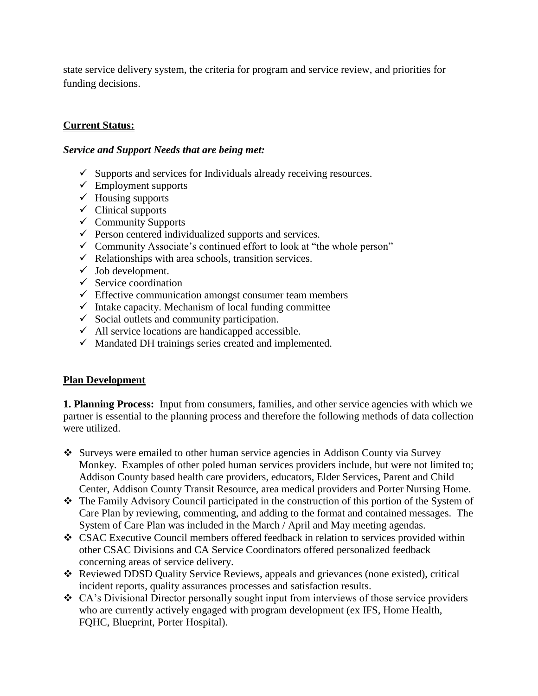state service delivery system, the criteria for program and service review, and priorities for funding decisions.

# **Current Status:**

#### *Service and Support Needs that are being met:*

- $\checkmark$  Supports and services for Individuals already receiving resources.
- $\checkmark$  Employment supports
- $\checkmark$  Housing supports
- $\checkmark$  Clinical supports
- $\checkmark$  Community Supports
- $\checkmark$  Person centered individualized supports and services.
- $\checkmark$  Community Associate's continued effort to look at "the whole person"
- $\checkmark$  Relationships with area schools, transition services.
- $\checkmark$  Job development.
- $\checkmark$  Service coordination
- $\checkmark$  Effective communication amongst consumer team members
- $\checkmark$  Intake capacity. Mechanism of local funding committee
- $\checkmark$  Social outlets and community participation.
- $\checkmark$  All service locations are handicapped accessible.
- $\checkmark$  Mandated DH trainings series created and implemented.

# **Plan Development**

**1. Planning Process:** Input from consumers, families, and other service agencies with which we partner is essential to the planning process and therefore the following methods of data collection were utilized.

- Surveys were emailed to other human service agencies in Addison County via Survey Monkey. Examples of other poled human services providers include, but were not limited to; Addison County based health care providers, educators, Elder Services, Parent and Child Center, Addison County Transit Resource, area medical providers and Porter Nursing Home.
- The Family Advisory Council participated in the construction of this portion of the System of Care Plan by reviewing, commenting, and adding to the format and contained messages. The System of Care Plan was included in the March / April and May meeting agendas.
- CSAC Executive Council members offered feedback in relation to services provided within other CSAC Divisions and CA Service Coordinators offered personalized feedback concerning areas of service delivery.
- Reviewed DDSD Quality Service Reviews, appeals and grievances (none existed), critical incident reports, quality assurances processes and satisfaction results.
- CA's Divisional Director personally sought input from interviews of those service providers who are currently actively engaged with program development (ex IFS, Home Health, FQHC, Blueprint, Porter Hospital).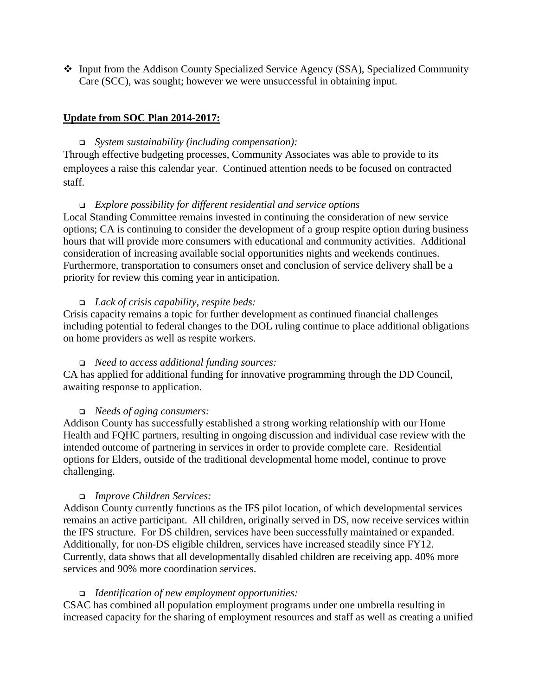Input from the Addison County Specialized Service Agency (SSA), Specialized Community Care (SCC), was sought; however we were unsuccessful in obtaining input.

## **Update from SOC Plan 2014-2017:**

## *System sustainability (including compensation):*

Through effective budgeting processes, Community Associates was able to provide to its employees a raise this calendar year. Continued attention needs to be focused on contracted staff.

## *Explore possibility for different residential and service options*

Local Standing Committee remains invested in continuing the consideration of new service options; CA is continuing to consider the development of a group respite option during business hours that will provide more consumers with educational and community activities.Additional consideration of increasing available social opportunities nights and weekends continues. Furthermore, transportation to consumers onset and conclusion of service delivery shall be a priority for review this coming year in anticipation.

#### *Lack of crisis capability, respite beds:*

Crisis capacity remains a topic for further development as continued financial challenges including potential to federal changes to the DOL ruling continue to place additional obligations on home providers as well as respite workers.

#### *Need to access additional funding sources:*

CA has applied for additional funding for innovative programming through the DD Council, awaiting response to application.

#### *Needs of aging consumers:*

Addison County has successfully established a strong working relationship with our Home Health and FQHC partners, resulting in ongoing discussion and individual case review with the intended outcome of partnering in services in order to provide complete care. Residential options for Elders, outside of the traditional developmental home model, continue to prove challenging.

#### *Improve Children Services:*

Addison County currently functions as the IFS pilot location, of which developmental services remains an active participant. All children, originally served in DS, now receive services within the IFS structure. For DS children, services have been successfully maintained or expanded. Additionally, for non-DS eligible children, services have increased steadily since FY12. Currently, data shows that all developmentally disabled children are receiving app. 40% more services and 90% more coordination services.

#### *Identification of new employment opportunities:*

CSAC has combined all population employment programs under one umbrella resulting in increased capacity for the sharing of employment resources and staff as well as creating a unified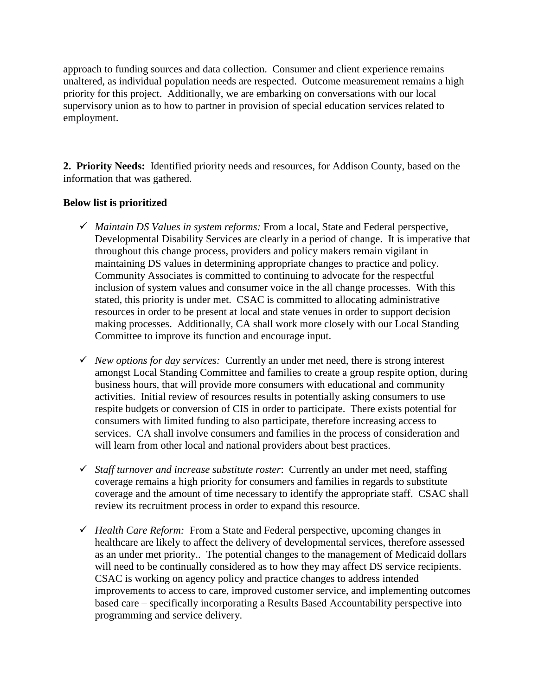approach to funding sources and data collection. Consumer and client experience remains unaltered, as individual population needs are respected. Outcome measurement remains a high priority for this project. Additionally, we are embarking on conversations with our local supervisory union as to how to partner in provision of special education services related to employment.

**2. Priority Needs:** Identified priority needs and resources, for Addison County, based on the information that was gathered.

# **Below list is prioritized**

- *Maintain DS Values in system reforms:* From a local, State and Federal perspective, Developmental Disability Services are clearly in a period of change. It is imperative that throughout this change process, providers and policy makers remain vigilant in maintaining DS values in determining appropriate changes to practice and policy. Community Associates is committed to continuing to advocate for the respectful inclusion of system values and consumer voice in the all change processes. With this stated, this priority is under met. CSAC is committed to allocating administrative resources in order to be present at local and state venues in order to support decision making processes. Additionally, CA shall work more closely with our Local Standing Committee to improve its function and encourage input.
- *New options for day services:* Currently an under met need, there is strong interest amongst Local Standing Committee and families to create a group respite option, during business hours, that will provide more consumers with educational and community activities. Initial review of resources results in potentially asking consumers to use respite budgets or conversion of CIS in order to participate. There exists potential for consumers with limited funding to also participate, therefore increasing access to services. CA shall involve consumers and families in the process of consideration and will learn from other local and national providers about best practices.
- *Staff turnover and increase substitute roster*: Currently an under met need, staffing coverage remains a high priority for consumers and families in regards to substitute coverage and the amount of time necessary to identify the appropriate staff. CSAC shall review its recruitment process in order to expand this resource.
- *Health Care Reform:* From a State and Federal perspective, upcoming changes in healthcare are likely to affect the delivery of developmental services, therefore assessed as an under met priority.. The potential changes to the management of Medicaid dollars will need to be continually considered as to how they may affect DS service recipients. CSAC is working on agency policy and practice changes to address intended improvements to access to care, improved customer service, and implementing outcomes based care – specifically incorporating a Results Based Accountability perspective into programming and service delivery.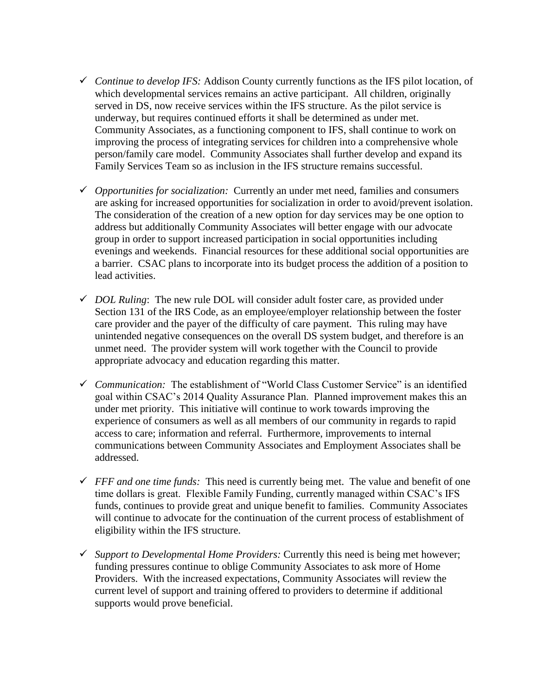- *Continue to develop IFS:* Addison County currently functions as the IFS pilot location, of which developmental services remains an active participant. All children, originally served in DS, now receive services within the IFS structure. As the pilot service is underway, but requires continued efforts it shall be determined as under met. Community Associates, as a functioning component to IFS, shall continue to work on improving the process of integrating services for children into a comprehensive whole person/family care model. Community Associates shall further develop and expand its Family Services Team so as inclusion in the IFS structure remains successful.
- *Opportunities for socialization:* Currently an under met need, families and consumers are asking for increased opportunities for socialization in order to avoid/prevent isolation. The consideration of the creation of a new option for day services may be one option to address but additionally Community Associates will better engage with our advocate group in order to support increased participation in social opportunities including evenings and weekends. Financial resources for these additional social opportunities are a barrier.CSAC plans to incorporate into its budget process the addition of a position to lead activities.
- $\checkmark$  *DOL Ruling*: The new rule DOL will consider adult foster care, as provided under Section 131 of the IRS Code, as an employee/employer relationship between the foster care provider and the payer of the difficulty of care payment. This ruling may have unintended negative consequences on the overall DS system budget, and therefore is an unmet need. The provider system will work together with the Council to provide appropriate advocacy and education regarding this matter.
- *Communication:* The establishment of "World Class Customer Service" is an identified goal within CSAC's 2014 Quality Assurance Plan. Planned improvement makes this an under met priority. This initiative will continue to work towards improving the experience of consumers as well as all members of our community in regards to rapid access to care; information and referral. Furthermore, improvements to internal communications between Community Associates and Employment Associates shall be addressed.
- $\checkmark$  FFF and one time funds: This need is currently being met. The value and benefit of one time dollars is great. Flexible Family Funding, currently managed within CSAC's IFS funds, continues to provide great and unique benefit to families. Community Associates will continue to advocate for the continuation of the current process of establishment of eligibility within the IFS structure.
- *Support to Developmental Home Providers:* Currently this need is being met however; funding pressures continue to oblige Community Associates to ask more of Home Providers. With the increased expectations, Community Associates will review the current level of support and training offered to providers to determine if additional supports would prove beneficial.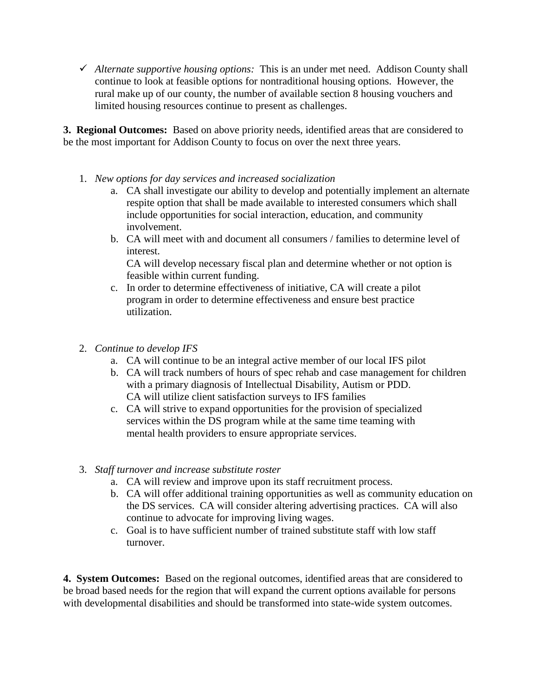*Alternate supportive housing options:* This is an under met need. Addison County shall continue to look at feasible options for nontraditional housing options. However, the rural make up of our county, the number of available section 8 housing vouchers and limited housing resources continue to present as challenges.

**3. Regional Outcomes:** Based on above priority needs, identified areas that are considered to be the most important for Addison County to focus on over the next three years.

- 1. *New options for day services and increased socialization*
	- a. CA shall investigate our ability to develop and potentially implement an alternate respite option that shall be made available to interested consumers which shall include opportunities for social interaction, education, and community involvement.
	- b. CA will meet with and document all consumers / families to determine level of interest.

CA will develop necessary fiscal plan and determine whether or not option is feasible within current funding.

- c. In order to determine effectiveness of initiative, CA will create a pilot program in order to determine effectiveness and ensure best practice utilization.
- 2. *Continue to develop IFS*
	- a. CA will continue to be an integral active member of our local IFS pilot
	- b. CA will track numbers of hours of spec rehab and case management for children with a primary diagnosis of Intellectual Disability, Autism or PDD. CA will utilize client satisfaction surveys to IFS families
	- c. CA will strive to expand opportunities for the provision of specialized services within the DS program while at the same time teaming with mental health providers to ensure appropriate services.
- 3. *Staff turnover and increase substitute roster*
	- a. CA will review and improve upon its staff recruitment process.
	- b. CA will offer additional training opportunities as well as community education on the DS services. CA will consider altering advertising practices. CA will also continue to advocate for improving living wages.
	- c. Goal is to have sufficient number of trained substitute staff with low staff turnover.

**4. System Outcomes:** Based on the regional outcomes, identified areas that are considered to be broad based needs for the region that will expand the current options available for persons with developmental disabilities and should be transformed into state-wide system outcomes.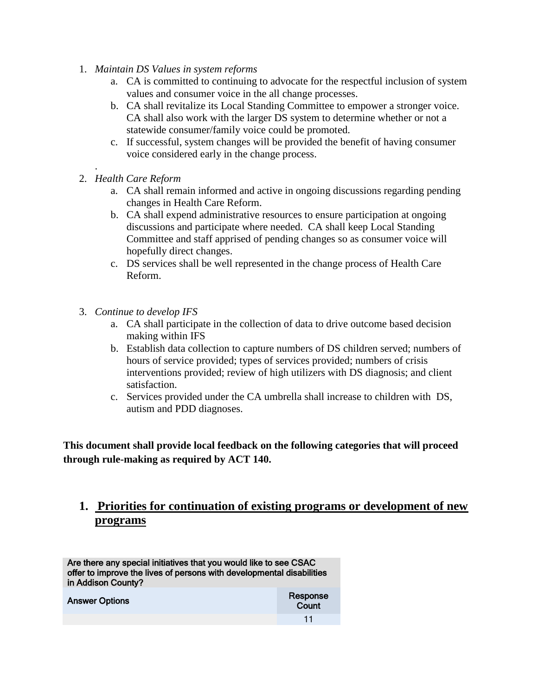- 1. *Maintain DS Values in system reforms*
	- a. CA is committed to continuing to advocate for the respectful inclusion of system values and consumer voice in the all change processes.
	- b. CA shall revitalize its Local Standing Committee to empower a stronger voice. CA shall also work with the larger DS system to determine whether or not a statewide consumer/family voice could be promoted.
	- c. If successful, system changes will be provided the benefit of having consumer voice considered early in the change process.
- 2. *Health Care Reform*

.

- a. CA shall remain informed and active in ongoing discussions regarding pending changes in Health Care Reform.
- b. CA shall expend administrative resources to ensure participation at ongoing discussions and participate where needed. CA shall keep Local Standing Committee and staff apprised of pending changes so as consumer voice will hopefully direct changes.
- c. DS services shall be well represented in the change process of Health Care Reform.
- 3. *Continue to develop IFS*
	- a. CA shall participate in the collection of data to drive outcome based decision making within IFS
	- b. Establish data collection to capture numbers of DS children served; numbers of hours of service provided; types of services provided; numbers of crisis interventions provided; review of high utilizers with DS diagnosis; and client satisfaction.
	- c. Services provided under the CA umbrella shall increase to children with DS, autism and PDD diagnoses.

**This document shall provide local feedback on the following categories that will proceed through rule-making as required by ACT 140.**

# **1. Priorities for continuation of existing programs or development of new programs**

Are there any special initiatives that you would like to see CSAC offer to improve the lives of persons with developmental disabilities in Addison County?

| <b>Answer Options</b> | Response<br>Count |
|-----------------------|-------------------|
|                       | 11                |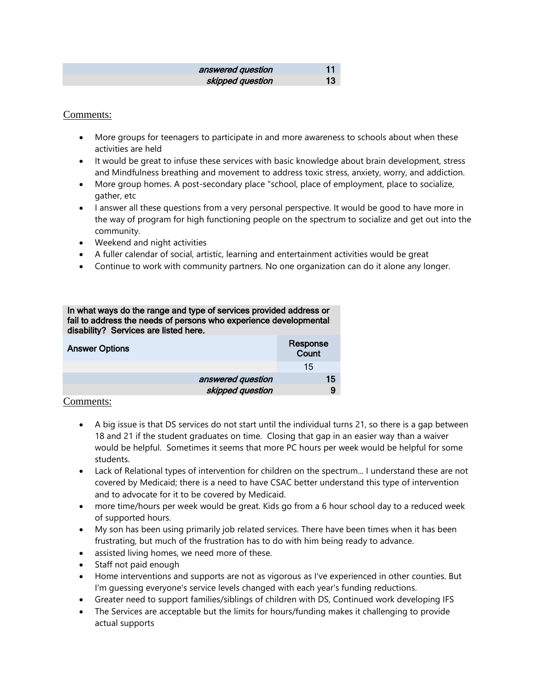| answered question | 11 |
|-------------------|----|
| skipped question  | 13 |

#### Comments:

- More groups for teenagers to participate in and more awareness to schools about when these activities are held
- It would be great to infuse these services with basic knowledge about brain development, stress and Mindfulness breathing and movement to address toxic stress, anxiety, worry, and addiction.
- More group homes. A post-secondary place "school, place of employment, place to socialize, gather, etc
- I answer all these questions from a very personal perspective. It would be good to have more in the way of program for high functioning people on the spectrum to socialize and get out into the community.
- Weekend and night activities
- A fuller calendar of social, artistic, learning and entertainment activities would be great
- Continue to work with community partners. No one organization can do it alone any longer.

| In what ways do the range and type of services provided address or<br>fail to address the needs of persons who experience developmental<br>disability? Services are listed here. |                   |                   |    |
|----------------------------------------------------------------------------------------------------------------------------------------------------------------------------------|-------------------|-------------------|----|
| <b>Answer Options</b>                                                                                                                                                            |                   | Response<br>Count |    |
|                                                                                                                                                                                  |                   | 15                |    |
|                                                                                                                                                                                  | answered question |                   | 15 |
|                                                                                                                                                                                  | skipped question  |                   | 9  |

- A big issue is that DS services do not start until the individual turns 21, so there is a gap between 18 and 21 if the student graduates on time. Closing that gap in an easier way than a waiver would be helpful. Sometimes it seems that more PC hours per week would be helpful for some students.
- Lack of Relational types of intervention for children on the spectrum... I understand these are not covered by Medicaid; there is a need to have CSAC better understand this type of intervention and to advocate for it to be covered by Medicaid.
- more time/hours per week would be great. Kids go from a 6 hour school day to a reduced week of supported hours.
- My son has been using primarily job related services. There have been times when it has been frustrating, but much of the frustration has to do with him being ready to advance.
- assisted living homes, we need more of these.
- Staff not paid enough
- Home interventions and supports are not as vigorous as I've experienced in other counties. But I'm guessing everyone's service levels changed with each year's funding reductions.
- Greater need to support families/siblings of children with DS, Continued work developing IFS
- The Services are acceptable but the limits for hours/funding makes it challenging to provide actual supports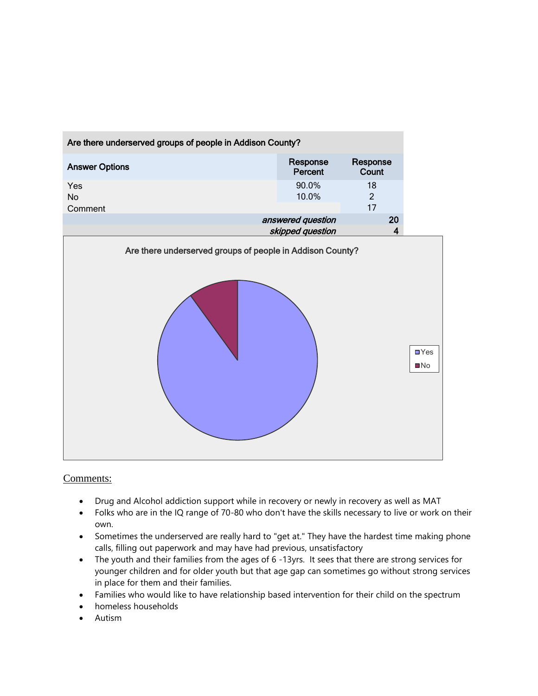

- Drug and Alcohol addiction support while in recovery or newly in recovery as well as MAT
- Folks who are in the IQ range of 70-80 who don't have the skills necessary to live or work on their own.
- Sometimes the underserved are really hard to "get at." They have the hardest time making phone calls, filling out paperwork and may have had previous, unsatisfactory
- The youth and their families from the ages of 6 -13yrs. It sees that there are strong services for younger children and for older youth but that age gap can sometimes go without strong services in place for them and their families.
- Families who would like to have relationship based intervention for their child on the spectrum
- homeless households
- Autism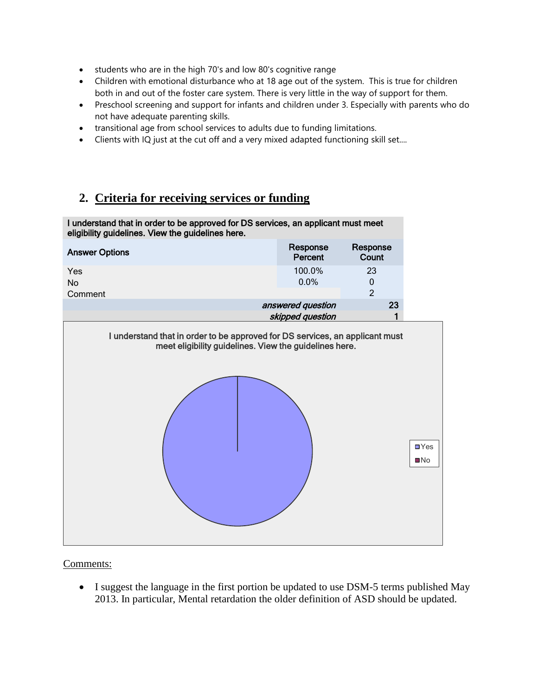- students who are in the high 70's and low 80's cognitive range
- Children with emotional disturbance who at 18 age out of the system. This is true for children both in and out of the foster care system. There is very little in the way of support for them.
- Preschool screening and support for infants and children under 3. Especially with parents who do not have adequate parenting skills.
- transitional age from school services to adults due to funding limitations.
- Clients with IQ just at the cut off and a very mixed adapted functioning skill set....

# **2. Criteria for receiving services or funding**



Comments:

• I suggest the language in the first portion be updated to use DSM-5 terms published May 2013. In particular, Mental retardation the older definition of ASD should be updated.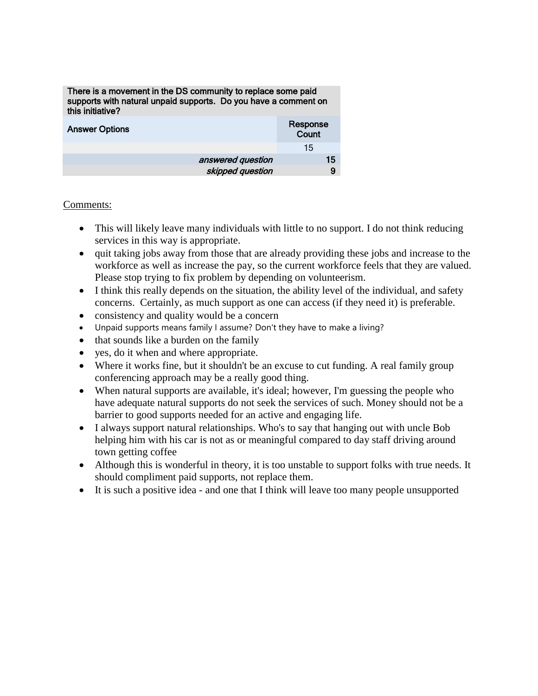| There is a movement in the DS community to replace some paid<br>supports with natural unpaid supports. Do you have a comment on<br>this initiative? |                   |  |
|-----------------------------------------------------------------------------------------------------------------------------------------------------|-------------------|--|
| <b>Answer Options</b>                                                                                                                               | Response<br>Count |  |
|                                                                                                                                                     | 15                |  |
| answered question                                                                                                                                   | 15                |  |
| skipped question                                                                                                                                    | 9                 |  |

- This will likely leave many individuals with little to no support. I do not think reducing services in this way is appropriate.
- quit taking jobs away from those that are already providing these jobs and increase to the workforce as well as increase the pay, so the current workforce feels that they are valued. Please stop trying to fix problem by depending on volunteerism.
- I think this really depends on the situation, the ability level of the individual, and safety concerns. Certainly, as much support as one can access (if they need it) is preferable.
- consistency and quality would be a concern
- Unpaid supports means family I assume? Don't they have to make a living?
- that sounds like a burden on the family
- yes, do it when and where appropriate.
- Where it works fine, but it shouldn't be an excuse to cut funding. A real family group conferencing approach may be a really good thing.
- When natural supports are available, it's ideal; however, I'm guessing the people who have adequate natural supports do not seek the services of such. Money should not be a barrier to good supports needed for an active and engaging life.
- I always support natural relationships. Who's to say that hanging out with uncle Bob helping him with his car is not as or meaningful compared to day staff driving around town getting coffee
- Although this is wonderful in theory, it is too unstable to support folks with true needs. It should compliment paid supports, not replace them.
- It is such a positive idea and one that I think will leave too many people unsupported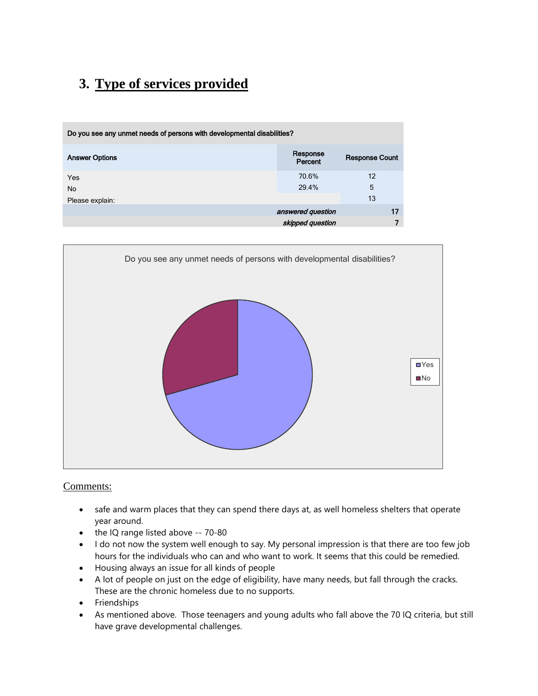# **3. Type of services provided**

| Do you see any unmet needs of persons with developmental disabilities? |                     |                       |
|------------------------------------------------------------------------|---------------------|-----------------------|
| <b>Answer Options</b>                                                  | Response<br>Percent | <b>Response Count</b> |
| <b>Yes</b><br><b>No</b>                                                | 70.6%<br>29.4%      | 12<br>5               |
| Please explain:                                                        |                     | 13                    |
|                                                                        | answered question   | 17                    |
|                                                                        | skipped question    | 7                     |



- safe and warm places that they can spend there days at, as well homeless shelters that operate year around.
- the IQ range listed above -- 70-80
- I do not now the system well enough to say. My personal impression is that there are too few job hours for the individuals who can and who want to work. It seems that this could be remedied.
- Housing always an issue for all kinds of people
- A lot of people on just on the edge of eligibility, have many needs, but fall through the cracks. These are the chronic homeless due to no supports.
- Friendships
- As mentioned above. Those teenagers and young adults who fall above the 70 IQ criteria, but still have grave developmental challenges.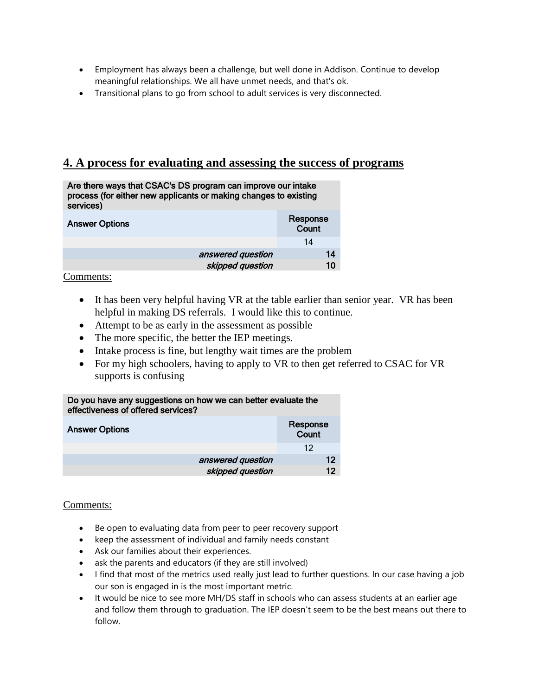- Employment has always been a challenge, but well done in Addison. Continue to develop meaningful relationships. We all have unmet needs, and that's ok.
- Transitional plans to go from school to adult services is very disconnected.

# **4. A process for evaluating and assessing the success of programs**

| services)             | Are there ways that CSAC's DS program can improve our intake<br>process (for either new applicants or making changes to existing |  |
|-----------------------|----------------------------------------------------------------------------------------------------------------------------------|--|
| <b>Answer Options</b> | Response<br>Count                                                                                                                |  |
|                       | 14                                                                                                                               |  |

Comments:

• It has been very helpful having VR at the table earlier than senior year. VR has been helpful in making DS referrals. I would like this to continue.

answered question 14 skipped question 10

- Attempt to be as early in the assessment as possible
- The more specific, the better the IEP meetings.
- Intake process is fine, but lengthy wait times are the problem
- For my high schoolers, having to apply to VR to then get referred to CSAC for VR supports is confusing

| Do you have any suggestions on how we can better evaluate the<br>effectiveness of offered services? |                   |                   |    |  |
|-----------------------------------------------------------------------------------------------------|-------------------|-------------------|----|--|
| <b>Answer Options</b>                                                                               |                   | Response<br>Count |    |  |
|                                                                                                     |                   | 12                |    |  |
|                                                                                                     | answered question |                   | 12 |  |
|                                                                                                     | skipped question  |                   | 12 |  |

- Be open to evaluating data from peer to peer recovery support
- keep the assessment of individual and family needs constant
- Ask our families about their experiences.
- ask the parents and educators (if they are still involved)
- I find that most of the metrics used really just lead to further questions. In our case having a job our son is engaged in is the most important metric.
- It would be nice to see more MH/DS staff in schools who can assess students at an earlier age and follow them through to graduation. The IEP doesn't seem to be the best means out there to follow.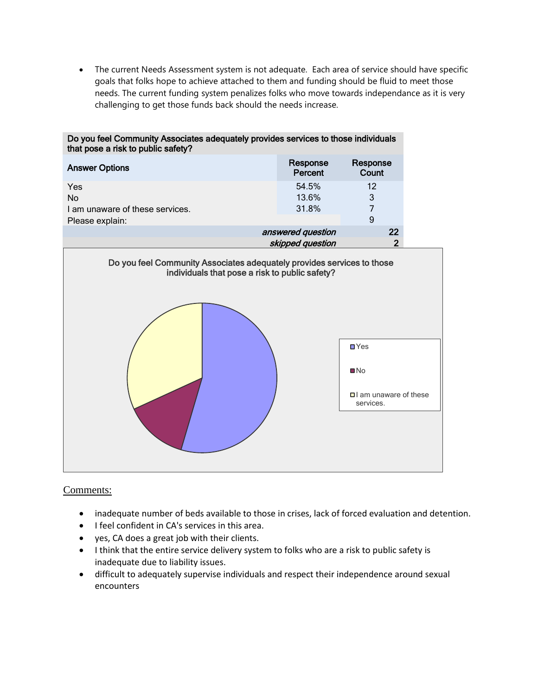The current Needs Assessment system is not adequate. Each area of service should have specific goals that folks hope to achieve attached to them and funding should be fluid to meet those needs. The current funding system penalizes folks who move towards independance as it is very challenging to get those funds back should the needs increase.

| Do you feel Community Associates adequately provides services to those individuals<br>that pose a risk to public safety? |                         |                                                                             |  |
|--------------------------------------------------------------------------------------------------------------------------|-------------------------|-----------------------------------------------------------------------------|--|
| <b>Answer Options</b>                                                                                                    | Response<br>Percent     | Response<br>Count                                                           |  |
| Yes<br><b>No</b><br>I am unaware of these services.                                                                      | 54.5%<br>13.6%<br>31.8% | 12<br>3<br>$\overline{7}$                                                   |  |
| Please explain:                                                                                                          |                         | 9                                                                           |  |
|                                                                                                                          | answered question       | 22                                                                          |  |
|                                                                                                                          | skipped question        | $\overline{2}$                                                              |  |
| Do you feel Community Associates adequately provides services to those<br>individuals that pose a risk to public safety? |                         |                                                                             |  |
|                                                                                                                          |                         | $\blacksquare$ Yes<br>$\n  NO\n$<br>$\Box$ am unaware of these<br>services. |  |
|                                                                                                                          |                         |                                                                             |  |

- inadequate number of beds available to those in crises, lack of forced evaluation and detention.
- I feel confident in CA's services in this area.
- yes, CA does a great job with their clients.
- I think that the entire service delivery system to folks who are a risk to public safety is inadequate due to liability issues.
- difficult to adequately supervise individuals and respect their independence around sexual encounters